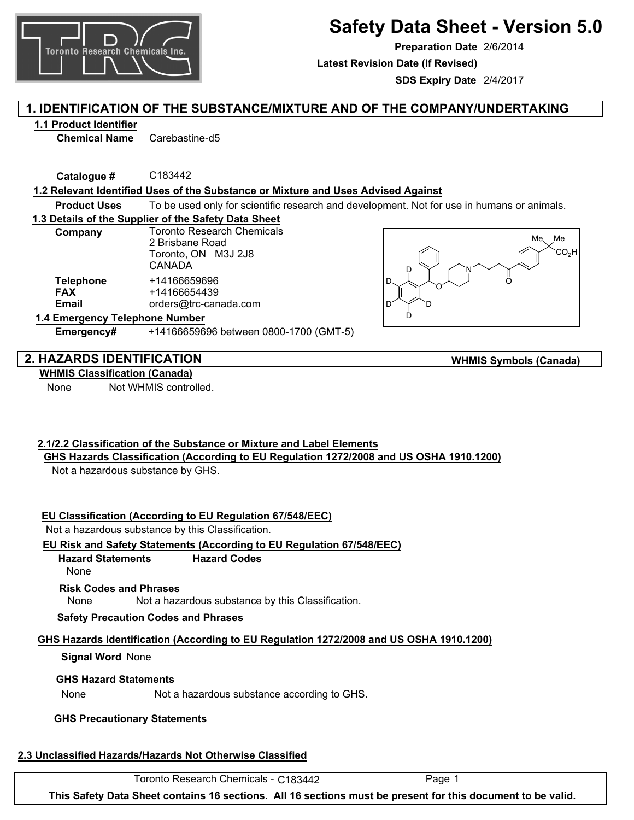

# **Safety Data Sheet - Version 5.0**

**Preparation Date** 2/6/2014

**Latest Revision Date (If Revised)**

**SDS Expiry Date** 2/4/2017

## **1. IDENTIFICATION OF THE SUBSTANCE/MIXTURE AND OF THE COMPANY/UNDERTAKING**

## **1.1 Product Identifier**

**Chemical Name** Carebastine-d5

**Catalogue #** C183442

## **1.2 Relevant Identified Uses of the Substance or Mixture and Uses Advised Against**

**Product Uses** To be used only for scientific research and development. Not for use in humans or animals.

## **1.3 Details of the Supplier of the Safety Data Sheet**

| Company          | <b>Toronto Research Chemicals</b><br>2 Brisbane Road<br>Toronto, ON M3J 2J8<br>CANADA |
|------------------|---------------------------------------------------------------------------------------|
| <b>Telephone</b> | +14166659696                                                                          |
| <b>FAX</b>       | +14166654439                                                                          |
| Email            | orders@trc-canada.com                                                                 |



**WHMIS Symbols (Canada)**

#### **1.4 Emergency Telephone Number**

**Emergency#** +14166659696 between 0800-1700 (GMT-5)

## **2. HAZARDS IDENTIFICATION**

**WHMIS Classification (Canada)**

None Not WHMIS controlled.

## **2.1/2.2 Classification of the Substance or Mixture and Label Elements**

**GHS Hazards Classification (According to EU Regulation 1272/2008 and US OSHA 1910.1200)**

Not a hazardous substance by GHS.

## **EU Classification (According to EU Regulation 67/548/EEC)**

Not a hazardous substance by this Classification.

## **EU Risk and Safety Statements (According to EU Regulation 67/548/EEC)**

#### **Hazard Statements Hazard Codes**

None

## **Risk Codes and Phrases**

None Not a hazardous substance by this Classification.

**Safety Precaution Codes and Phrases**

## **GHS Hazards Identification (According to EU Regulation 1272/2008 and US OSHA 1910.1200)**

## **Signal Word** None

## **GHS Hazard Statements**

None Not a hazardous substance according to GHS.

## **GHS Precautionary Statements**

## **2.3 Unclassified Hazards/Hazards Not Otherwise Classified**

Toronto Research Chemicals - C183442 Page 1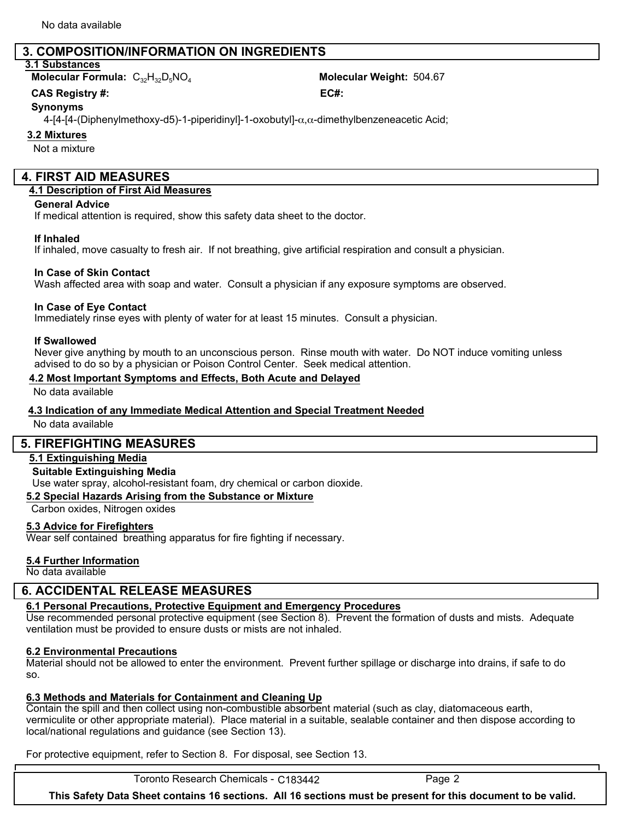## **3. COMPOSITION/INFORMATION ON INGREDIENTS**

## **3.1 Substances**

**Molecular Formula:**  $C_{32}H_{32}D_5NO_4$  **Molecular Weight:** 504.67

**CAS** Registry #: **EC#: CAS** Registry #:

#### **Synonyms**

4-[4-[4-(Diphenylmethoxy-d5)-1-piperidinyl]-1-oxobutyl]-α,α-dimethylbenzeneacetic Acid;

### **3.2 Mixtures**

Not a mixture

### **4. FIRST AID MEASURES**

#### **4.1 Description of First Aid Measures**

#### **General Advice**

If medical attention is required, show this safety data sheet to the doctor.

#### **If Inhaled**

If inhaled, move casualty to fresh air. If not breathing, give artificial respiration and consult a physician.

#### **In Case of Skin Contact**

Wash affected area with soap and water. Consult a physician if any exposure symptoms are observed.

#### **In Case of Eye Contact**

Immediately rinse eyes with plenty of water for at least 15 minutes. Consult a physician.

#### **If Swallowed**

Never give anything by mouth to an unconscious person. Rinse mouth with water. Do NOT induce vomiting unless advised to do so by a physician or Poison Control Center. Seek medical attention.

#### **4.2 Most Important Symptoms and Effects, Both Acute and Delayed**

No data available

#### **4.3 Indication of any Immediate Medical Attention and Special Treatment Needed**

No data available

## **5. FIREFIGHTING MEASURES**

#### **5.1 Extinguishing Media**

#### **Suitable Extinguishing Media**

Use water spray, alcohol-resistant foam, dry chemical or carbon dioxide.

**5.2 Special Hazards Arising from the Substance or Mixture**

Carbon oxides, Nitrogen oxides

#### **5.3 Advice for Firefighters**

Wear self contained breathing apparatus for fire fighting if necessary.

#### **5.4 Further Information**

No data available

## **6. ACCIDENTAL RELEASE MEASURES**

## **6.1 Personal Precautions, Protective Equipment and Emergency Procedures**

Use recommended personal protective equipment (see Section 8). Prevent the formation of dusts and mists. Adequate ventilation must be provided to ensure dusts or mists are not inhaled.

## **6.2 Environmental Precautions**

Material should not be allowed to enter the environment. Prevent further spillage or discharge into drains, if safe to do so.

## **6.3 Methods and Materials for Containment and Cleaning Up**

Contain the spill and then collect using non-combustible absorbent material (such as clay, diatomaceous earth, vermiculite or other appropriate material). Place material in a suitable, sealable container and then dispose according to local/national regulations and guidance (see Section 13).

For protective equipment, refer to Section 8. For disposal, see Section 13.

Toronto Research Chemicals - C183442 Page 2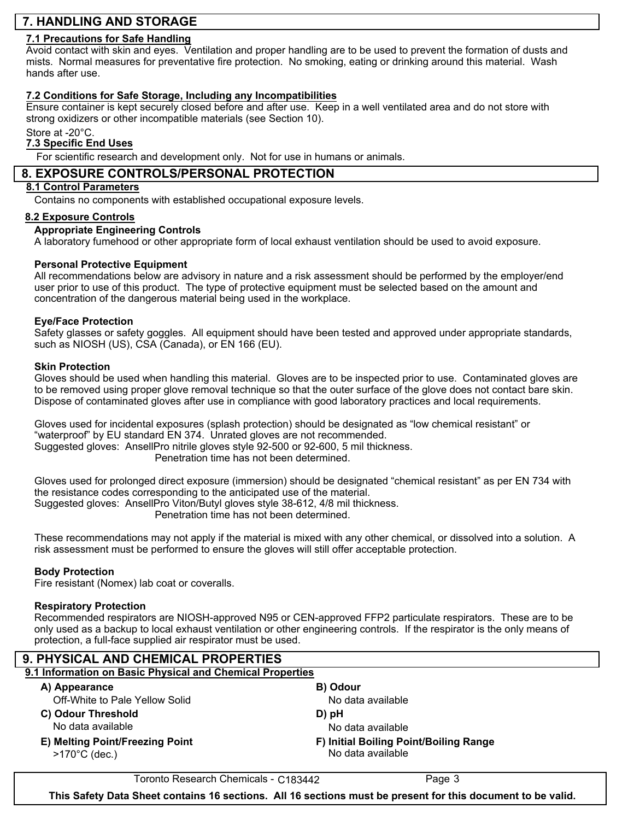## **7. HANDLING AND STORAGE**

#### **7.1 Precautions for Safe Handling**

Avoid contact with skin and eyes. Ventilation and proper handling are to be used to prevent the formation of dusts and mists. Normal measures for preventative fire protection. No smoking, eating or drinking around this material. Wash hands after use.

#### **7.2 Conditions for Safe Storage, Including any Incompatibilities**

Ensure container is kept securely closed before and after use. Keep in a well ventilated area and do not store with strong oxidizers or other incompatible materials (see Section 10).

Store at -20°C.

### **7.3 Specific End Uses**

For scientific research and development only. Not for use in humans or animals.

#### **8. EXPOSURE CONTROLS/PERSONAL PROTECTION**

## **8.1 Control Parameters**

Contains no components with established occupational exposure levels.

#### **8.2 Exposure Controls**

#### **Appropriate Engineering Controls**

A laboratory fumehood or other appropriate form of local exhaust ventilation should be used to avoid exposure.

#### **Personal Protective Equipment**

All recommendations below are advisory in nature and a risk assessment should be performed by the employer/end user prior to use of this product. The type of protective equipment must be selected based on the amount and concentration of the dangerous material being used in the workplace.

#### **Eye/Face Protection**

Safety glasses or safety goggles. All equipment should have been tested and approved under appropriate standards, such as NIOSH (US), CSA (Canada), or EN 166 (EU).

#### **Skin Protection**

Gloves should be used when handling this material. Gloves are to be inspected prior to use. Contaminated gloves are to be removed using proper glove removal technique so that the outer surface of the glove does not contact bare skin. Dispose of contaminated gloves after use in compliance with good laboratory practices and local requirements.

Gloves used for incidental exposures (splash protection) should be designated as "low chemical resistant" or "waterproof" by EU standard EN 374. Unrated gloves are not recommended. Suggested gloves: AnsellPro nitrile gloves style 92-500 or 92-600, 5 mil thickness. Penetration time has not been determined.

Gloves used for prolonged direct exposure (immersion) should be designated "chemical resistant" as per EN 734 with the resistance codes corresponding to the anticipated use of the material. Suggested gloves: AnsellPro Viton/Butyl gloves style 38-612, 4/8 mil thickness. Penetration time has not been determined.

These recommendations may not apply if the material is mixed with any other chemical, or dissolved into a solution. A risk assessment must be performed to ensure the gloves will still offer acceptable protection.

#### **Body Protection**

Fire resistant (Nomex) lab coat or coveralls.

#### **Respiratory Protection**

Recommended respirators are NIOSH-approved N95 or CEN-approved FFP2 particulate respirators. These are to be only used as a backup to local exhaust ventilation or other engineering controls. If the respirator is the only means of protection, a full-face supplied air respirator must be used.

| 9. PHYSICAL AND CHEMICAL PROPERTIES                        |                                                             |  |  |  |
|------------------------------------------------------------|-------------------------------------------------------------|--|--|--|
| 9.1 Information on Basic Physical and Chemical Properties  |                                                             |  |  |  |
| A) Appearance                                              | B) Odour                                                    |  |  |  |
| Off-White to Pale Yellow Solid                             | No data available                                           |  |  |  |
| C) Odour Threshold<br>No data available                    | D) pH<br>No data available                                  |  |  |  |
| E) Melting Point/Freezing Point<br>$>170^{\circ}$ C (dec.) | F) Initial Boiling Point/Boiling Range<br>No data available |  |  |  |

Toronto Research Chemicals - C183442 Page 3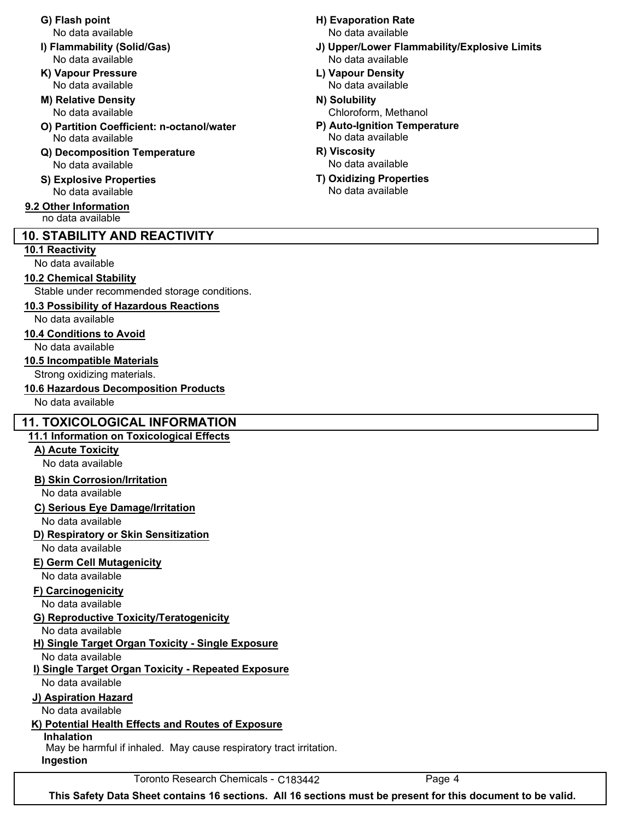- No data available No data available
- **K) Vapour Pressure L) Vapour Density**
- **M) Relative Density N) Solubility**
- **O) Partition Coefficient: n-octanol/water P) Auto-Ignition Temperature** No data available No data available
- **Q) Decomposition Temperature R) Viscosity** No data available
- No data available No data available

#### **9.2 Other Information** no data available

## **10. STABILITY AND REACTIVITY**

#### **10.1 Reactivity**

No data available

## **10.2 Chemical Stability**

Stable under recommended storage conditions.

**10.3 Possibility of Hazardous Reactions**

No data available

### **10.4 Conditions to Avoid**

No data available

#### **10.5 Incompatible Materials**

Strong oxidizing materials.

**10.6 Hazardous Decomposition Products**

No data available

## **11. TOXICOLOGICAL INFORMATION**

## **11.1 Information on Toxicological Effects**

## **A) Acute Toxicity**

No data available

## **B) Skin Corrosion/Irritation**

No data available

## **C) Serious Eye Damage/Irritation**

No data available

## **D) Respiratory or Skin Sensitization**

No data available

## **E) Germ Cell Mutagenicity**

No data available

## **F) Carcinogenicity**

No data available

## **G) Reproductive Toxicity/Teratogenicity**

No data available

## **H) Single Target Organ Toxicity - Single Exposure**

No data available

## **i) Single Target Organ Toxicity - Repeated Exposure**

No data available

## **J) Aspiration Hazard**

No data available

## **K) Potential Health Effects and Routes of Exposure**

## **Inhalation**

May be harmful if inhaled. May cause respiratory tract irritation.

**Ingestion**

## Toronto Research Chemicals - C183442 Page 4

**G) Flash point H) Evaporation Rate** No data available No data available

- **I) Flammability (Solid/Gas) J) Upper/Lower Flammability/Explosive Limits**
	- No data available No data available
	- No data available **No assume that a contract the Chloroform**, Methanol
		-
		-
- **S) Explosive Properties T) Oxidizing Properties**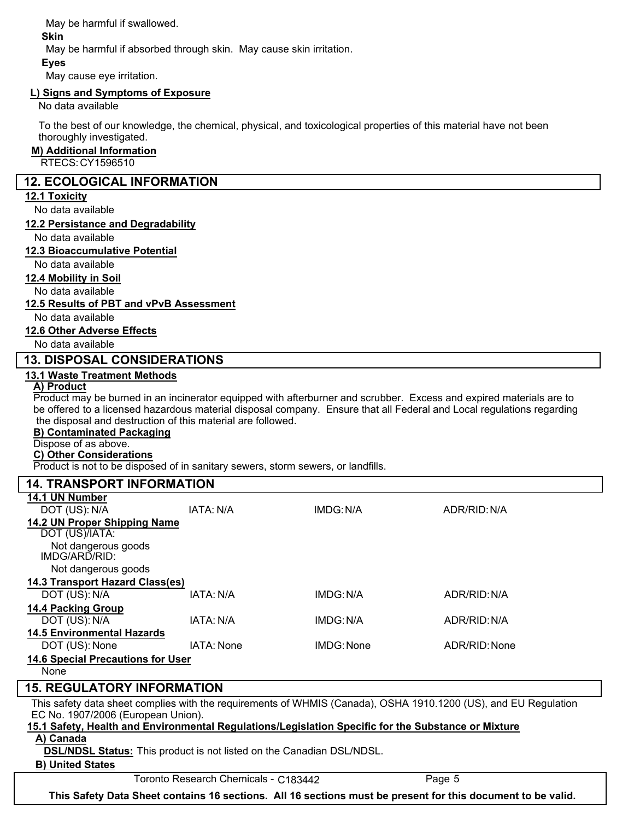May be harmful if swallowed.

**Skin**

May be harmful if absorbed through skin. May cause skin irritation.

May cause eye irritation. **Eyes**

### **L) Signs and Symptoms of Exposure**

No data available

To the best of our knowledge, the chemical, physical, and toxicological properties of this material have not been thoroughly investigated.

#### **M) Additional Information**

RTECS: CY1596510

### **12. ECOLOGICAL INFORMATION**

#### **12.1 Toxicity**

No data available

#### **12.2 Persistance and Degradability**

No data available

#### **12.3 Bioaccumulative Potential**

No data available

#### **12.4 Mobility in Soil**

No data available

#### **12.5 Results of PBT and vPvB Assessment**

No data available

#### **12.6 Other Adverse Effects**

No data available

## **13. DISPOSAL CONSIDERATIONS**

#### **13.1 Waste Treatment Methods**

#### **A) Product**

Product may be burned in an incinerator equipped with afterburner and scrubber. Excess and expired materials are to be offered to a licensed hazardous material disposal company. Ensure that all Federal and Local regulations regarding the disposal and destruction of this material are followed.

#### **B) Contaminated Packaging**

Dispose of as above.

## **C) Other Considerations**

Product is not to be disposed of in sanitary sewers, storm sewers, or landfills.

| <b>14. TRANSPORT INFORMATION</b>         |            |            |               |  |  |
|------------------------------------------|------------|------------|---------------|--|--|
| 14.1 UN Number                           |            |            |               |  |  |
| DOT (US): N/A                            | IATA: N/A  | IMDG: N/A  | ADR/RID: N/A  |  |  |
| 14.2 UN Proper Shipping Name             |            |            |               |  |  |
| DOT (US)/IATA:                           |            |            |               |  |  |
| Not dangerous goods<br>IMDG/ARD/RID:     |            |            |               |  |  |
| Not dangerous goods                      |            |            |               |  |  |
| 14.3 Transport Hazard Class(es)          |            |            |               |  |  |
| DOT (US): N/A                            | IATA: N/A  | IMDG: N/A  | ADR/RID: N/A  |  |  |
| <b>14.4 Packing Group</b>                |            |            |               |  |  |
| DOT (US): N/A                            | IATA: N/A  | IMDG: N/A  | ADR/RID: N/A  |  |  |
| <b>14.5 Environmental Hazards</b>        |            |            |               |  |  |
| DOT (US): None                           | IATA: None | IMDG: None | ADR/RID: None |  |  |
| <b>14.6 Special Precautions for User</b> |            |            |               |  |  |
| None                                     |            |            |               |  |  |

## **15. REGULATORY INFORMATION**

This safety data sheet complies with the requirements of WHMIS (Canada), OSHA 1910.1200 (US), and EU Regulation EC No. 1907/2006 (European Union).

## **15.1 Safety, Health and Environmental Regulations/Legislation Specific for the Substance or Mixture**

#### **A) Canada**

**DSL/NDSL Status:** This product is not listed on the Canadian DSL/NDSL.

#### **B) United States**

Toronto Research Chemicals - C183442 Page 5